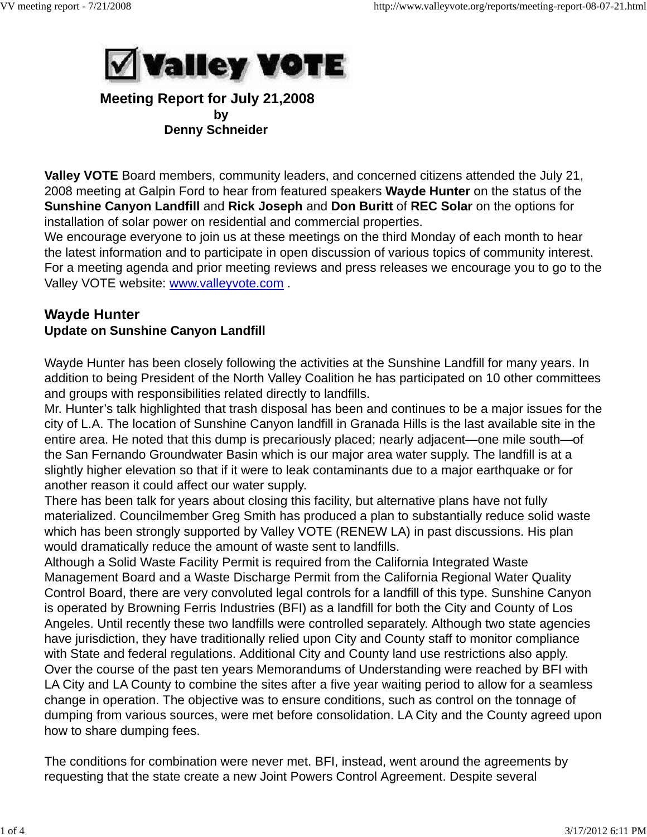

## **Meeting Report for July 21,2008 by** by the contract of the by  **Denny Schneider**

**Valley VOTE** Board members, community leaders, and concerned citizens attended the July 21, 2008 meeting at Galpin Ford to hear from featured speakers **Wayde Hunter** on the status of the **Sunshine Canyon Landfill** and **Rick Joseph** and **Don Buritt** of **REC Solar** on the options for installation of solar power on residential and commercial properties.

We encourage everyone to join us at these meetings on the third Monday of each month to hear the latest information and to participate in open discussion of various topics of community interest. For a meeting agenda and prior meeting reviews and press releases we encourage you to go to the Valley VOTE website: www.valleyvote.com .

# **Wayde Hunter Update on Sunshine Canyon Landfill**

Wayde Hunter has been closely following the activities at the Sunshine Landfill for many years. In addition to being President of the North Valley Coalition he has participated on 10 other committees and groups with responsibilities related directly to landfills.

Mr. Hunter's talk highlighted that trash disposal has been and continues to be a major issues for the city of L.A. The location of Sunshine Canyon landfill in Granada Hills is the last available site in the entire area. He noted that this dump is precariously placed; nearly adjacent—one mile south—of the San Fernando Groundwater Basin which is our major area water supply. The landfill is at a slightly higher elevation so that if it were to leak contaminants due to a major earthquake or for another reason it could affect our water supply.

There has been talk for years about closing this facility, but alternative plans have not fully materialized. Councilmember Greg Smith has produced a plan to substantially reduce solid waste which has been strongly supported by Valley VOTE (RENEW LA) in past discussions. His plan would dramatically reduce the amount of waste sent to landfills.

Although a Solid Waste Facility Permit is required from the California Integrated Waste Management Board and a Waste Discharge Permit from the California Regional Water Quality Control Board, there are very convoluted legal controls for a landfill of this type. Sunshine Canyon is operated by Browning Ferris Industries (BFI) as a landfill for both the City and County of Los Angeles. Until recently these two landfills were controlled separately. Although two state agencies have jurisdiction, they have traditionally relied upon City and County staff to monitor compliance with State and federal regulations. Additional City and County land use restrictions also apply. Over the course of the past ten years Memorandums of Understanding were reached by BFI with LA City and LA County to combine the sites after a five year waiting period to allow for a seamless change in operation. The objective was to ensure conditions, such as control on the tonnage of dumping from various sources, were met before consolidation. LA City and the County agreed upon how to share dumping fees.

The conditions for combination were never met. BFI, instead, went around the agreements by requesting that the state create a new Joint Powers Control Agreement. Despite several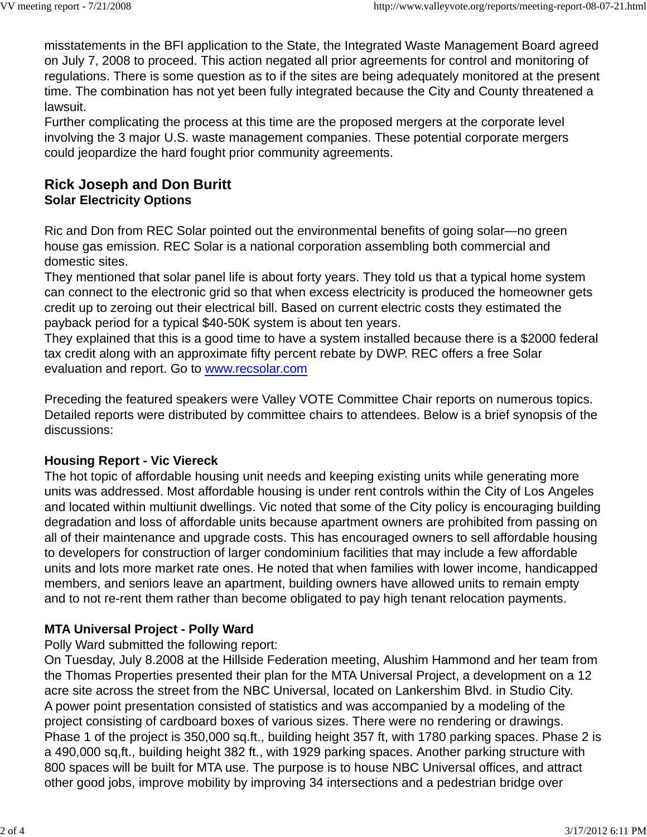misstatements in the BFI application to the State, the Integrated Waste Management Board agreed on July 7, 2008 to proceed. This action negated all prior agreements for control and monitoring of regulations. There is some question as to if the sites are being adequately monitored at the present time. The combination has not yet been fully integrated because the City and County threatened a lawsuit.

Further complicating the process at this time are the proposed mergers at the corporate level involving the 3 major U.S. waste management companies. These potential corporate mergers could jeopardize the hard fought prior community agreements.

# **Rick Joseph and Don Buritt Solar Electricity Options**

Ric and Don from REC Solar pointed out the environmental benefits of going solar—no green house gas emission. REC Solar is a national corporation assembling both commercial and domestic sites.

They mentioned that solar panel life is about forty years. They told us that a typical home system can connect to the electronic grid so that when excess electricity is produced the homeowner gets credit up to zeroing out their electrical bill. Based on current electric costs they estimated the payback period for a typical \$40-50K system is about ten years.

They explained that this is a good time to have a system installed because there is a \$2000 federal tax credit along with an approximate fifty percent rebate by DWP. REC offers a free Solar evaluation and report. Go to www.recsolar.com

Preceding the featured speakers were Valley VOTE Committee Chair reports on numerous topics. Detailed reports were distributed by committee chairs to attendees. Below is a brief synopsis of the discussions:

### **Housing Report - Vic Viereck**

The hot topic of affordable housing unit needs and keeping existing units while generating more units was addressed. Most affordable housing is under rent controls within the City of Los Angeles and located within multiunit dwellings. Vic noted that some of the City policy is encouraging building degradation and loss of affordable units because apartment owners are prohibited from passing on all of their maintenance and upgrade costs. This has encouraged owners to sell affordable housing to developers for construction of larger condominium facilities that may include a few affordable units and lots more market rate ones. He noted that when families with lower income, handicapped members, and seniors leave an apartment, building owners have allowed units to remain empty and to not re-rent them rather than become obligated to pay high tenant relocation payments.

# **MTA Universal Project - Polly Ward**

Polly Ward submitted the following report:

On Tuesday, July 8.2008 at the Hillside Federation meeting, Alushim Hammond and her team from the Thomas Properties presented their plan for the MTA Universal Project, a development on a 12 acre site across the street from the NBC Universal, located on Lankershim Blvd. in Studio City. A power point presentation consisted of statistics and was accompanied by a modeling of the project consisting of cardboard boxes of various sizes. There were no rendering or drawings. Phase 1 of the project is 350,000 sq.ft., building height 357 ft, with 1780 parking spaces. Phase 2 is a 490,000 sq,ft., building height 382 ft., with 1929 parking spaces. Another parking structure with 800 spaces will be built for MTA use. The purpose is to house NBC Universal offices, and attract other good jobs, improve mobility by improving 34 intersections and a pedestrian bridge over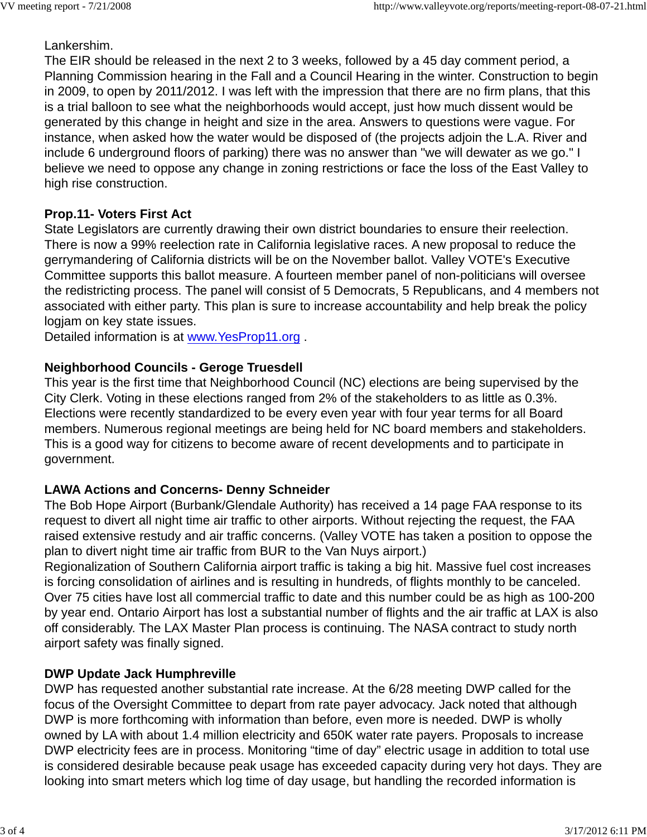### Lankershim.

The EIR should be released in the next 2 to 3 weeks, followed by a 45 day comment period, a Planning Commission hearing in the Fall and a Council Hearing in the winter. Construction to begin in 2009, to open by 2011/2012. I was left with the impression that there are no firm plans, that this is a trial balloon to see what the neighborhoods would accept, just how much dissent would be generated by this change in height and size in the area. Answers to questions were vague. For instance, when asked how the water would be disposed of (the projects adjoin the L.A. River and include 6 underground floors of parking) there was no answer than "we will dewater as we go." I believe we need to oppose any change in zoning restrictions or face the loss of the East Valley to high rise construction.

## **Prop.11- Voters First Act**

State Legislators are currently drawing their own district boundaries to ensure their reelection. There is now a 99% reelection rate in California legislative races. A new proposal to reduce the gerrymandering of California districts will be on the November ballot. Valley VOTE's Executive Committee supports this ballot measure. A fourteen member panel of non-politicians will oversee the redistricting process. The panel will consist of 5 Democrats, 5 Republicans, and 4 members not associated with either party. This plan is sure to increase accountability and help break the policy logjam on key state issues.

Detailed information is at www.YesProp11.org .

## **Neighborhood Councils - Geroge Truesdell**

This year is the first time that Neighborhood Council (NC) elections are being supervised by the City Clerk. Voting in these elections ranged from 2% of the stakeholders to as little as 0.3%. Elections were recently standardized to be every even year with four year terms for all Board members. Numerous regional meetings are being held for NC board members and stakeholders. This is a good way for citizens to become aware of recent developments and to participate in government.

# **LAWA Actions and Concerns- Denny Schneider**

The Bob Hope Airport (Burbank/Glendale Authority) has received a 14 page FAA response to its request to divert all night time air traffic to other airports. Without rejecting the request, the FAA raised extensive restudy and air traffic concerns. (Valley VOTE has taken a position to oppose the plan to divert night time air traffic from BUR to the Van Nuys airport.)

Regionalization of Southern California airport traffic is taking a big hit. Massive fuel cost increases is forcing consolidation of airlines and is resulting in hundreds, of flights monthly to be canceled. Over 75 cities have lost all commercial traffic to date and this number could be as high as 100-200 by year end. Ontario Airport has lost a substantial number of flights and the air traffic at LAX is also off considerably. The LAX Master Plan process is continuing. The NASA contract to study north airport safety was finally signed.

# **DWP Update Jack Humphreville**

DWP has requested another substantial rate increase. At the 6/28 meeting DWP called for the focus of the Oversight Committee to depart from rate payer advocacy. Jack noted that although DWP is more forthcoming with information than before, even more is needed. DWP is wholly owned by LA with about 1.4 million electricity and 650K water rate payers. Proposals to increase DWP electricity fees are in process. Monitoring "time of day" electric usage in addition to total use is considered desirable because peak usage has exceeded capacity during very hot days. They are looking into smart meters which log time of day usage, but handling the recorded information is